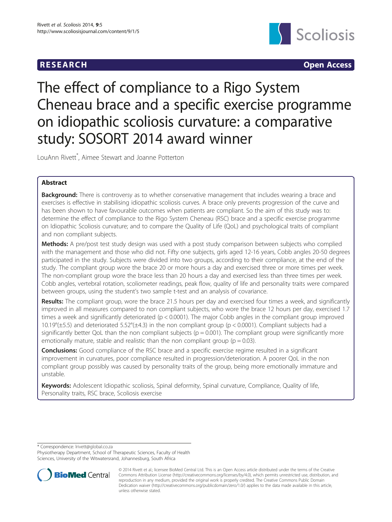# **RESEARCH CHINESEARCH CHINESEARCH**



# The effect of compliance to a Rigo System Cheneau brace and a specific exercise programme on idiopathic scoliosis curvature: a comparative study: SOSORT 2014 award winner

LouAnn Rivett\* , Aimee Stewart and Joanne Potterton

# Abstract

**Background:** There is controversy as to whether conservative management that includes wearing a brace and exercises is effective in stabilising idiopathic scoliosis curves. A brace only prevents progression of the curve and has been shown to have favourable outcomes when patients are compliant. So the aim of this study was to: determine the effect of compliance to the Rigo System Cheneau (RSC) brace and a specific exercise programme on Idiopathic Scoliosis curvature; and to compare the Quality of Life (QoL) and psychological traits of compliant and non compliant subjects.

Methods: A pre/post test study design was used with a post study comparison between subjects who complied with the management and those who did not. Fifty one subjects, girls aged 12-16 years, Cobb angles 20-50 degrees participated in the study. Subjects were divided into two groups, according to their compliance, at the end of the study. The compliant group wore the brace 20 or more hours a day and exercised three or more times per week. The non-compliant group wore the brace less than 20 hours a day and exercised less than three times per week. Cobb angles, vertebral rotation, scoliometer readings, peak flow, quality of life and personality traits were compared between groups, using the student's two sample t-test and an analysis of covariance.

Results: The compliant group, wore the brace 21.5 hours per day and exercised four times a week, and significantly improved in all measures compared to non compliant subjects, who wore the brace 12 hours per day, exercised 1.7 times a week and significantly deteriorated (p < 0.0001). The major Cobb angles in the compliant group improved 10.19°( $\pm$ 5.5) and deteriorated 5.52°( $\pm$ 4.3) in the non compliant group (p < 0.0001). Compliant subjects had a significantly better QoL than the non compliant subjects ( $p = 0.001$ ). The compliant group were significantly more emotionally mature, stable and realistic than the non compliant group ( $p = 0.03$ ).

**Conclusions:** Good compliance of the RSC brace and a specific exercise regime resulted in a significant improvement in curvatures, poor compliance resulted in progression/deterioration. A poorer QoL in the non compliant group possibly was caused by personality traits of the group, being more emotionally immature and unstable.

Keywords: Adolescent Idiopathic scoliosis, Spinal deformity, Spinal curvature, Compliance, Quality of life, Personality traits, RSC brace, Scoliosis exercise

\* Correspondence: [lrivett@global.co.za](mailto:lrivett@global.co.za)

Physiotherapy Department, School of Therapeutic Sciences, Faculty of Health Sciences, University of the Witwatersrand, Johannesburg, South Africa



<sup>© 2014</sup> Rivett et al.; licensee BioMed Central Ltd. This is an Open Access article distributed under the terms of the Creative Commons Attribution License [\(http://creativecommons.org/licenses/by/4.0\)](http://creativecommons.org/licenses/by/4.0), which permits unrestricted use, distribution, and reproduction in any medium, provided the original work is properly credited. The Creative Commons Public Domain Dedication waiver [\(http://creativecommons.org/publicdomain/zero/1.0/](http://creativecommons.org/publicdomain/zero/1.0/)) applies to the data made available in this article, unless otherwise stated.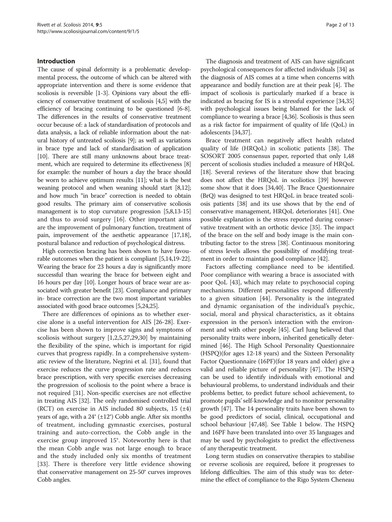# Introduction

The cause of spinal deformity is a problematic developmental process, the outcome of which can be altered with appropriate intervention and there is some evidence that scoliosis is reversible [\[1-3](#page-11-0)]. Opinions vary about the efficiency of conservative treatment of scoliosis [\[4,5](#page-11-0)] with the efficiency of bracing continuing to be questioned [\[6](#page-11-0)-[8](#page-11-0)]. The differences in the results of conservative treatment occur because of: a lack of standardisation of protocols and data analysis, a lack of reliable information about the natural history of untreated scoliosis [\[9\]](#page-11-0); as well as variations in brace type and lack of standardisation of application [[10](#page-11-0)]. There are still many unknowns about brace treatment, which are required to determine its effectiveness [[8](#page-11-0)] for example: the number of hours a day the brace should be worn to achieve optimum results [\[11](#page-11-0)]; what is the best weaning protocol and when weaning should start [\[8,12](#page-11-0)]; and how much "in brace" correction is needed to obtain good results. The primary aim of conservative scoliosis management is to stop curvature progression [\[5,8,13-15](#page-11-0)] and thus to avoid surgery [\[16](#page-11-0)]. Other important aims are the improvement of pulmonary function, treatment of pain, improvement of the aesthetic appearance [\[17,18](#page-11-0)], postural balance and reduction of psychological distress.

High correction bracing has been shown to have favourable outcomes when the patient is compliant [[5,14,19-22](#page-11-0)]. Wearing the brace for 23 hours a day is significantly more successful than wearing the brace for between eight and 16 hours per day [\[10\]](#page-11-0). Longer hours of brace wear are associated with greater benefit [\[23\]](#page-11-0). Compliance and primary in- brace correction are the two most important variables associated with good brace outcomes [\[5,24,25\]](#page-11-0).

There are differences of opinions as to whether exercise alone is a useful intervention for AIS [[26-28\]](#page-11-0). Exercise has been shown to improve signs and symptoms of scoliosis without surgery [[1](#page-11-0),[2](#page-11-0),[5,27,29](#page-11-0),[30](#page-11-0)] by maintaining the flexibility of the spine, which is important for rigid curves that progress rapidly. In a comprehensive systematic review of the literature, Negrini et al. [\[31\]](#page-11-0), found that exercise reduces the curve progression rate and reduces brace prescription, with very specific exercises decreasing the progression of scoliosis to the point where a brace is not required [[31](#page-11-0)]. Non-specific exercises are not effective in treating AIS [\[32\]](#page-11-0). The only randomised controlled trial (RCT) on exercise in AIS included 80 subjects,  $15$  ( $\pm 4$ ) years of age, with a  $24^{\circ}$  ( $\pm 12^{\circ}$ ) Cobb angle. After six months of treatment, including gymnastic exercises, postural training and auto-correction, the Cobb angle in the exercise group improved 15°. Noteworthy here is that the mean Cobb angle was not large enough to brace and the study included only six months of treatment [[33\]](#page-11-0). There is therefore very little evidence showing that conservative management on 25-50° curves improves Cobb angles.

The diagnosis and treatment of AIS can have significant psychological consequences for affected individuals [\[34\]](#page-11-0) as the diagnosis of AIS comes at a time when concerns with appearance and bodily function are at their peak [\[4](#page-11-0)]. The impact of scoliosis is particularly marked if a brace is indicated as bracing for IS is a stressful experience [\[34,35](#page-11-0)] with psychological issues being blamed for the lack of compliance to wearing a brace [[4,36](#page-11-0)]. Scoliosis is thus seen as a risk factor for impairment of quality of life (QoL) in adolescents [\[34,37](#page-11-0)].

Brace treatment can negatively affect health related quality of life (HRQoL) in scoliotic patients [\[38](#page-11-0)]. The SOSORT 2005 consensus paper, reported that only 1,48 percent of scoliosis studies included a measure of HRQoL [[18](#page-11-0)]. Several reviews of the literature show that bracing does not affect the HRQoL in scoliotics [[39](#page-11-0)] however some show that it does [[34,40\]](#page-11-0). The Brace Questionnaire (BrQ) was designed to test HRQoL in brace treated scoliosis patients [\[38\]](#page-11-0) and its use shows that by the end of conservative management, HRQoL deteriorates [\[41\]](#page-11-0). One possible explanation is the stress reported during conservative treatment with an orthotic device [[35](#page-11-0)]. The impact of the brace on the self and body image is the main contributing factor to the stress [\[38\]](#page-11-0). Continuous monitoring of stress levels allows the possibility of modifying treatment in order to maintain good compliance [[42](#page-11-0)].

Factors affecting compliance need to be identified. Poor compliance with wearing a brace is associated with poor QoL [\[43\]](#page-11-0), which may relate to psychosocial coping mechanisms. Different personalities respond differently to a given situation [[44\]](#page-11-0). Personality is the integrated and dynamic organisation of the individual's psychic, social, moral and physical characteristics, as it obtains expression in the person's interaction with the environment and with other people [\[45\]](#page-11-0). Carl Jung believed that personality traits were inborn, inherited genetically determined [[46](#page-11-0)]. The High School Personality Questionnaire (HSPQ)(for ages 12-18 years) and the Sixteen Personality Factor Questionnaire (16PF)(for 18 years and older) give a valid and reliable picture of personality [\[47\]](#page-11-0). The HSPQ can be used to identify individuals with emotional and behavioural problems, to understand individuals and their problems better, to predict future school achievement, to promote pupils'self-knowledge and to monitor personality growth [\[47\]](#page-11-0). The 14 personality traits have been shown to be good predictors of social, clinical, occupational and school behaviour [\[47,48\]](#page-11-0). See Table [1](#page-2-0) below. The HSPQ and 16PF have been translated into over 35 languages and may be used by psychologists to predict the effectiveness of any therapeutic treatment.

Long term studies on conservative therapies to stabilise or reverse scoliosis are required, before it progresses to lifelong difficulties. The aim of this study was to: determine the effect of compliance to the Rigo System Cheneau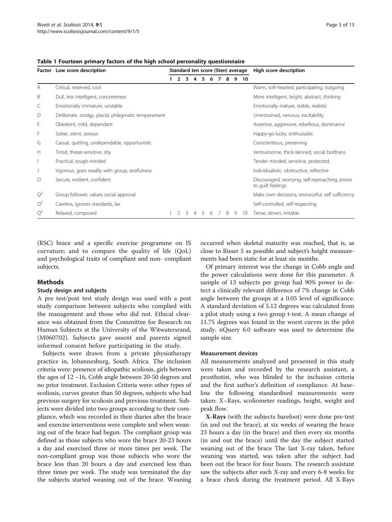|                | Factor Low score description                       | Standard ten score (Sten) average |    |                | High score description |    |   |   |    |    |                                                                     |
|----------------|----------------------------------------------------|-----------------------------------|----|----------------|------------------------|----|---|---|----|----|---------------------------------------------------------------------|
|                |                                                    |                                   |    |                |                        | 6  |   | 8 | 9  | 10 |                                                                     |
| A              | Critical, reserved, cool                           |                                   |    |                |                        |    |   |   |    |    | Warm, soft-hearted, participating, outgoing                         |
| B              | Dull, less intelligent, concreteness               |                                   |    |                |                        |    |   |   |    |    | More intelligent, bright, abstract, thinking                        |
| C              | Emotionally immature, unstable                     |                                   |    |                |                        |    |   |   |    |    | Emotionally mature, stable, realistic                               |
| D              | Deliberate, stodgy, placid, phlegmatic temperament |                                   |    |                |                        |    |   |   |    |    | Unrestrained, nervous, excitability                                 |
| E              | Obedient, mild, dependant                          |                                   |    |                |                        |    |   |   |    |    | Assertive, aggressive, rebellious, dominance                        |
| F              | Sober, silent, serious                             |                                   |    |                |                        |    |   |   |    |    | Happy-go-lucky, enthusiastic                                        |
| G              | Casual, quitting, undependable, opportunistic      |                                   |    |                |                        |    |   |   |    |    | Conscientious, preserving                                           |
| Н              | Timid, threat-sensitive, shy                       |                                   |    |                |                        |    |   |   |    |    | Venturesome, thick-skinned, social boldness                         |
|                | Practical, tough-minded                            |                                   |    |                |                        |    |   |   |    |    | Tender minded, sensitive, protected,                                |
| J              | Vigorous, goes readily with group, zestfulness     |                                   |    |                |                        |    |   |   |    |    | Individualistic, obstructive, reflective                            |
| O              | Secure, resilient, confident                       |                                   |    |                |                        |    |   |   |    |    | Discouraged, worrying, self-reproaching, prone<br>to quilt feelings |
| $Q^2$          | Group follower, values social approval             |                                   |    |                |                        |    |   |   |    |    | Make own decisions, resourceful, self sufficiency                   |
| $Q^3$          | Careless, ignores standards, lax                   |                                   |    |                |                        |    |   |   |    |    | Self-controlled, self-respecting                                    |
| O <sup>4</sup> | Relaxed, composed                                  | $\mathcal{L}$                     | -3 | $\overline{4}$ | 5                      | -6 | 7 | 8 | -9 | 10 | Tense, driven, irritable                                            |

<span id="page-2-0"></span>Table 1 Fourteen primary factors of the high school personality questionnaire

(RSC) brace and a specific exercise programme on IS curvature; and to compare the quality of life (QoL) and psychological traits of compliant and non- compliant subjects.

# Methods

#### Study design and subjects

A pre test/post test study design was used with a post study comparison between subjects who complied with the management and those who did not. Ethical clearance was obtained from the Committee for Research on Human Subjects at the University of the Witwatersrand, (M060702). Subjects gave assent and parents signed informed consent before participating in the study.

Subjects were drawn from a private physiotherapy practice in, Johannesburg, South Africa. The inclusion criteria were: presence of idiopathic scoliosis, girls between the ages of 12 –16, Cobb angle between 20-50 degrees and no prior treatment. Exclusion Criteria were: other types of scoliosis, curves greater than 50 degrees, subjects who had previous surgery for scoliosis and previous treatment. Subjects were divided into two groups according to their compliance, which was recorded in their diaries after the brace and exercise interventions were complete and when weaning out of the brace had begun. The compliant group was defined as those subjects who wore the brace 20-23 hours a day and exercised three or more times per week. The non-compliant group was those subjects who wore the brace less than 20 hours a day and exercised less than three times per week. The study was terminated the day the subjects started weaning out of the brace. Weaning occurred when skeletal maturity was reached, that is, as close to Risser 5 as possible and subject's height measurements had been static for at least six months.

Of primary interest was the change in Cobb angle and the power calculations were done for this parameter. A sample of 13 subjects per group had 90% power to detect a clinically relevant difference of 7% change in Cobb angle between the groups at a 0.05 level of significance. A standard deviation of 5.12 degrees was calculated from a pilot study using a two group t-test. A mean change of 11.75 degrees was found in the worst curves in the pilot study. nQuery 6.0 software was used to determine the sample size.

#### Measurement devices

All measurements analyzed and presented in this study were taken and recorded by the research assistant, a prosthotist, who was blinded to the inclusion criteria and the first author's definition of compliance. At baseline the following standardised measurements were taken: X–Rays, scoliometer readings, height, weight and peak flow.

X-Rays (with the subjects barefoot) were done pre-test (in and out the brace), at six weeks of wearing the brace 23 hours a day (in the brace) and then every six months (in and out the brace) until the day the subject started weaning out of the brace The last X-ray taken, before weaning was started, was taken after the subject had been out the brace for four hours. The research assistant saw the subjects after each X-ray and every 6-8 weeks for a brace check during the treatment period. All X-Rays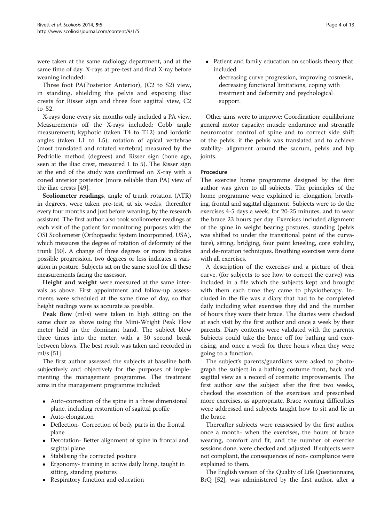were taken at the same radiology department, and at the same time of day. X-rays at pre-test and final X-ray before weaning included:

Three foot PA(Posterior Anterior), (C2 to S2) view, in standing, shielding the pelvis and exposing iliac crests for Risser sign and three foot sagittal view, C2 to S2.

X-rays done every six months only included a PA view. Measurements off the X-rays included: Cobb angle measurement; kyphotic (taken T4 to T12) and lordotic angles (taken L1 to L5); rotation of apical vertebrae (most translated and rotated vertebra) measured by the Pedriolle method (degrees) and Risser sign (bone age, seen at the iliac crest, measured 1 to 5). The Risser sign at the end of the study was confirmed on X-ray with a coned anterior posterior (more reliable than PA) view of the iliac crests [\[49](#page-11-0)].

Scoliometer readings, angle of trunk rotation (ATR) in degrees, were taken pre-test, at six weeks, thereafter every four months and just before weaning, by the research assistant. The first author also took scoliometer readings at each visit of the patient for monitoring purposes with the OSI Scoliometer (Orthopaedic System Incorporated, USA), which measures the degree of rotation of deformity of the trunk [[50](#page-11-0)]. A change of three degrees or more indicates possible progression, two degrees or less indicates a variation in posture. Subjects sat on the same stool for all these measurements facing the assessor.

Height and weight were measured at the same intervals as above. First appointment and follow-up assessments were scheduled at the same time of day, so that height readings were as accurate as possible.

Peak flow (ml/s) were taken in high sitting on the same chair as above using the Mini-Wright Peak Flow meter held in the dominant hand. The subject blew three times into the meter, with a 30 second break between blows. The best result was taken and recorded in ml/s [\[51\]](#page-11-0).

The first author assessed the subjects at baseline both subjectively and objectively for the purposes of implementing the management programme. The treatment aims in the management programme included:

- Auto-correction of the spine in a three dimensional plane, including restoration of sagittal profile
- Auto-elongation
- Deflection- Correction of body parts in the frontal plane
- Derotation- Better alignment of spine in frontal and sagittal plane
- Stabilising the corrected posture
- Ergonomy- training in active daily living, taught in sitting, standing postures
- Respiratory function and education
- Patient and family education on scoliosis theory that included:
	- decreasing curve progression, improving cosmesis, decreasing functional limitations, coping with treatment and deformity and psychological support.

Other aims were to improve: Coordination; equilibrium; general motor capacity; muscle endurance and strength; neuromotor control of spine and to correct side shift of the pelvis, if the pelvis was translated and to achieve stability- alignment around the sacrum, pelvis and hip joints.

# Procedure

The exercise home programme designed by the first author was given to all subjects. The principles of the home programme were explained ie. elongation, breathing, frontal and sagittal alignment. Subjects were to do the exercises 4-5 days a week, for 20-25 minutes, and to wear the brace 23 hours per day. Exercises included alignment of the spine in weight bearing postures, standing (pelvis was shifted to under the transitional point of the curvature), sitting, bridging, four point kneeling, core stability, and de-rotation techniques. Breathing exercises were done with all exercises.

A description of the exercises and a picture of their curve, (for subjects to see how to correct the curve) was included in a file which the subjects kept and brought with them each time they came to physiotherapy. Included in the file was a diary that had to be completed daily including what exercises they did and the number of hours they wore their brace. The diaries were checked at each visit by the first author and once a week by their parents. Diary contents were validated with the parents. Subjects could take the brace off for bathing and exercising, and once a week for three hours when they were going to a function.

The subject's parents/guardians were asked to photograph the subject in a bathing costume front, back and sagittal view as a record of cosmetic improvements. The first author saw the subject after the first two weeks, checked the execution of the exercises and prescribed more exercises, as appropriate. Brace wearing difficulties were addressed and subjects taught how to sit and lie in the brace.

Thereafter subjects were reassessed by the first author once a month- when the exercises, the hours of brace wearing, comfort and fit, and the number of exercise sessions done, were checked and adjusted. If subjects were not compliant, the consequences of non- compliance were explained to them.

The English version of the Quality of Life Questionnaire, BrQ [[52](#page-12-0)], was administered by the first author, after a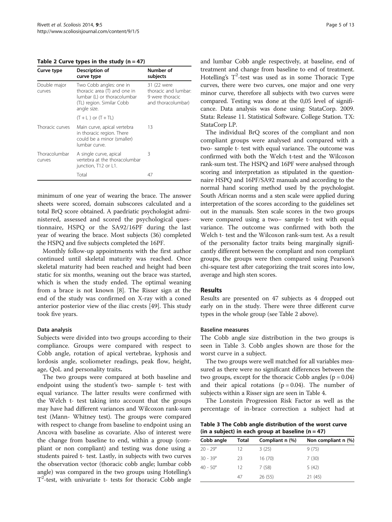Table 2 Curve types in the study  $(n = 47)$ 

| Curve type              | Description of<br>curve type                                                                                                       | Number of<br>subjects                                                        |
|-------------------------|------------------------------------------------------------------------------------------------------------------------------------|------------------------------------------------------------------------------|
| Double major<br>curves  | Two Cobb angles: one in<br>thoracic area (T) and one in<br>lumbar (L) or thoracolumbar<br>(TL) region. Similar Cobb<br>angle size. | 31 (22 were<br>thoracic and lumbar:<br>9 were thoracic<br>and thoracolumbar) |
|                         | $(T + L)$ or $(T + TL)$                                                                                                            |                                                                              |
| Thoracic curves         | Main curve, apical vertebra<br>in thoracic region. There<br>could be a minor (smaller)<br>lumbar curve.                            | 13                                                                           |
| Thoracolumbar<br>curves | A single curve, apical<br>vertebra at the thoracolumbar<br>junction, T12 or L1.                                                    | Β                                                                            |
|                         | Total                                                                                                                              | 47                                                                           |

minimum of one year of wearing the brace. The answer sheets were scored, domain subscores calculated and a total BrQ score obtained. A paedriatic psychologist administered, assessed and scored the psychological questionnaire, HSPQ or the SA92/16PF during the last year of wearing the brace. Most subjects (36) completed the HSPQ and five subjects completed the 16PF.

Monthly follow-up appointments with the first author continued until skeletal maturity was reached. Once skeletal maturity had been reached and height had been static for six months, weaning out the brace was started, which is when the study ended. The optimal weaning from a brace is not known [[8\]](#page-11-0). The Risser sign at the end of the study was confirmed on X-ray with a coned anterior posterior view of the iliac crests [\[49](#page-11-0)]. This study took five years.

# Data analysis

Subjects were divided into two groups according to their compliance. Groups were compared with respect to Cobb angle, rotation of apical vertebrae, kyphosis and lordosis angle, scoliometer readings, peak flow, height, age, QoL and personality traits.

The two groups were compared at both baseline and endpoint using the student's two- sample t- test with equal variance. The latter results were confirmed with the Welch t- test taking into account that the groups may have had different variances and Wilcoxon rank-sum test (Mann- Whitney test). The groups were compared with respect to change from baseline to endpoint using an Ancova with baseline as covariate. Also of interest were the change from baseline to end, within a group (compliant or non compliant) and testing was done using a students paired t- test. Lastly, in subjects with two curves the observation vector (thoracic cobb angle; lumbar cobb angle) was compared in the two groups using Hotelling's  $T^2$ -test, with univariate t- tests for thoracic Cobb angle

and lumbar Cobb angle respectively, at baseline, end of treatment and change from baseline to end of treatment. Hotelling's  $T^2$ -test was used as in some Thoracic Type curves, there were two curves, one major and one very minor curve, therefore all subjects with two curves were compared. Testing was done at the 0,05 level of significance. Data analysis was done using: StataCorp. 2009. Stata: Release 11. Statistical Software. College Station. TX: StataCorp LP.

The individual BrQ scores of the compliant and non compliant groups were analysed and compared with a two- sample t- test with equal variance. The outcome was confirmed with both the Welch t-test and the Wilcoxon rank-sum test. The HSPQ and 16PF were analysed through scoring and interpretation as stipulated in the questionnaire HSPQ and 16PF/SA92 manuals and according to the normal hand scoring method used by the psychologist. South African norms and a sten scale were applied during interpretation of the scores according to the guidelines set out in the manuals. Sten scale scores in the two groups were compared using a two– sample t- test with equal variance. The outcome was confirmed with both the Welch t- test and the Wilcoxon rank-sum test. As a result of the personality factor traits being marginally significantly different between the compliant and non compliant groups, the groups were then compared using Pearson's chi-square test after categorizing the trait scores into low, average and high sten scores.

# **Results**

Results are presented on 47 subjects as 4 dropped out early on in the study. There were three different curve types in the whole group (see Table 2 above).

# Baseline measures

The Cobb angle size distribution in the two groups is seen in Table 3. Cobb angles shown are those for the worst curve in a subject.

The two groups were well matched for all variables measured as there were no significant differences between the two groups, except for the thoracic Cobb angles  $(p = 0.04)$ and their apical rotations ( $p = 0.04$ ). The number of subjects within a Risser sign are seen in Table [4](#page-5-0).

The Lonstein Progression Risk Factor as well as the percentage of in-brace correction a subject had at

Table 3 The Cobb angle distribution of the worst curve (in a subject) in each group at baseline  $(n = 47)$ 

| Cobb angle        | Total | Compliant n (%) | Non compliant n (%) |
|-------------------|-------|-----------------|---------------------|
| $20 - 29^{\circ}$ | 12    | 3(25)           | 9(75)               |
| $30 - 39^\circ$   | 23    | 16(70)          | 7(30)               |
| $40 - 50^{\circ}$ | 12    | 7(58)           | 5(42)               |
|                   | 47    | 26(55)          | 21(45)              |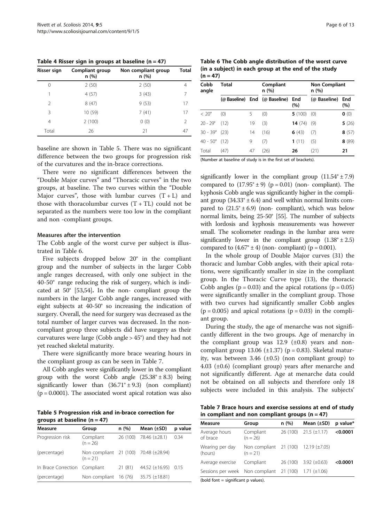<span id="page-5-0"></span>Table 4 Risser sign in groups at baseline  $(n = 47)$ 

| Risser sign   | Compliant group<br>n(%) | Non compliant group<br>n (%) | Total |
|---------------|-------------------------|------------------------------|-------|
| 0             | 2(50)                   | 2(50)                        | 4     |
|               | 4(57)                   | 3(43)                        | 7     |
| $\mathcal{P}$ | 8(47)                   | 9(53)                        | 17    |
| 3             | 10 (59)                 | 7(41)                        | 17    |
| 4             | 2(100)                  | 0(0)                         | 2     |
| Total         | 26                      | 21                           | 47    |

baseline are shown in Table 5. There was no significant difference between the two groups for progression risk of the curvatures and the in-brace corrections.

There were no significant differences between the "Double Major curves" and "Thoracic curves" in the two groups, at baseline. The two curves within the "Double Major curves", those with lumbar curves  $(T + L)$  and those with thoracolumbar curves  $(T + TL)$  could not be separated as the numbers were too low in the compliant and non -compliant groups.

#### Measures after the intervention

The Cobb angle of the worst curve per subject is illustrated in Table 6.

Five subjects dropped below 20° in the compliant group and the number of subjects in the larger Cobb angle ranges decreased, with only one subject in the 40-50° range reducing the risk of surgery, which is indicated at 50° [\[53,54](#page-12-0)]. In the non- compliant group the numbers in the larger Cobb angle ranges, increased with eight subjects at 40-50° so increasing the indication of surgery. Overall, the need for surgery was decreased as the total number of larger curves was decreased. In the noncompliant group three subjects did have surgery as their curvatures were large (Cobb angle > 45°) and they had not yet reached skeletal maturity.

There were significantly more brace wearing hours in the compliant group as can be seen in Table 7.

All Cobb angles were significantly lower in the compliant group with the worst Cobb angle  $(25.38° \pm 8.3)$  being significantly lower than  $(36.71^{\circ} \pm 9.3)$  (non compliant)  $(p = 0.0001)$ . The associated worst apical rotation was also

Table 5 Progression risk and in-brace correction for groups at baseline  $(n = 47)$ 

| Measure                       | Group                                               | n(%)   | Mean $(\pm SD)$        | p value |
|-------------------------------|-----------------------------------------------------|--------|------------------------|---------|
| Progression risk              | Compliant<br>$(n = 26)$                             |        | 26 (100) 78.46 (±28.1) | 0.34    |
| (percentage)                  | Non compliant 21 (100) 70.48 (±28.94)<br>$(n = 21)$ |        |                        |         |
| In Brace Correction Compliant |                                                     | 21(81) | 44.52 (±16.95) 0.15    |         |
| (percentage)                  | Non compliant 16 (76)                               |        | 35.75 $(\pm 18.81)$    |         |

Table 6 The Cobb angle distribution of the worst curve (in a subject) in each group at the end of the study  $(n = 47)$ 

| Cobb<br>angle          | Total |    | Compliant<br>n (%)            |            | <b>Non Compliant</b><br>n (%) |            |  |
|------------------------|-------|----|-------------------------------|------------|-------------------------------|------------|--|
|                        |       |    | (@ Baseline) End (@ Baseline) | End<br>(%) | (@ Baseline)                  | End<br>(%) |  |
| $< 20^{\circ}$         | (0)   | 5  | (0)                           | 5(100)     | (0)                           | 0(0)       |  |
| $20 - 29^\circ$        | (12)  | 19 | (3)                           | 14 $(74)$  | (9)                           | 5(26)      |  |
| $30 - 39^{\circ}$ (23) |       | 14 | (16)                          | 6(43)      | (7)                           | 8(57)      |  |
| $40 - 50^{\circ}$ (12) |       | 9  | (7)                           | 1(11)      | (5)                           | 8(89)      |  |
| Total                  | (47)  | 47 | (26)                          | 26         | (21)                          | 21         |  |

(Number at baseline of study is in the first set of brackets).

significantly lower in the compliant group  $(11.54^{\circ} \pm 7.9)$ compared to  $(17.95° \pm 9)$   $(p = 0.01)$  (non- compliant). The kyphosis Cobb angle was significantly higher in the compliant group  $(34.33^\circ \pm 6.4)$  and well within normal limits compared to  $(21.5^{\circ} \pm 6.9)$  (non- compliant), which was below normal limits, being 25-50° [\[55\]](#page-12-0). The number of subjects with lordosis and kyphosis measurements was however small. The scoliometer readings in the lumbar area were significantly lower in the compliant group  $(1.38° \pm 2.5)$ compared to  $(4.67° \pm 4)$  (non- compliant) (p = 0.001).

In the whole group of Double Major curves (31) the thoracic and lumbar Cobb angles, with their apical rotations, were significantly smaller in size in the compliant group. In the Thoracic Curve type (13), the thoracic Cobb angles ( $p = 0.03$ ) and the apical rotations ( $p = 0.05$ ) were significantly smaller in the compliant group. Those with two curves had significantly smaller Cobb angles  $(p = 0.005)$  and apical rotations  $(p = 0.03)$  in the compliant group.

During the study, the age of menarche was not significantly different in the two groups. Age of menarchy in the compliant group was  $12.9$  ( $\pm 0.8$ ) years and noncompliant group 13.06  $(\pm 1.37)$  (p = 0.83). Skeletal maturity, was between 3.46  $(\pm 0.5)$  (non compliant group) to 4.03 (±0.6) (compliant group) years after menarche and not significantly different. Age at menarche data could not be obtained on all subjects and therefore only 18 subjects were included in this analysis. The subjects'

Table 7 Brace hours and exercise sessions at end of study in compliant and non compliant groups  $(n = 47)$ 

| <b>Measure</b>                           | Group                                              | n (%)    | Mean $(\pm SD)$            | p value* |
|------------------------------------------|----------------------------------------------------|----------|----------------------------|----------|
| Average hours<br>of brace                | Compliant<br>$(n = 26)$                            |          | $26(100)$ $21.5(\pm 1.17)$ | < 0.0001 |
| Wearing per day<br>(hours)               | Non compliant 21 (100) 12.19 (±7.05)<br>$(n = 21)$ |          |                            |          |
| Average exercise                         | Compliant                                          | 26 (100) | $3.92 \ (\pm 0.63)$        | < 0.0001 |
| Sessions per week Non compliant 21 (100) |                                                    |          | $1.71 (\pm 1.06)$          |          |

(bold font  $=$  significant p values).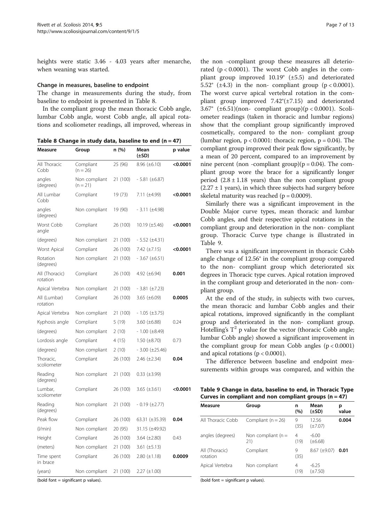heights were static 3.46 - 4.03 years after menarche, when weaning was started.

### Change in measures, baseline to endpoint

The change in measurements during the study, from baseline to endpoint is presented in Table 8.

In the compliant group the mean thoracic Cobb angle, lumbar Cobb angle, worst Cobb angle, all apical rotations and scoliometer readings, all improved, whereas in

Table 8 Change in study data, baseline to end  $(n = 47)$ 

| Measure                    | Group                       | n (%)    | Mean<br>$(\pm SD)$     | p value  |
|----------------------------|-----------------------------|----------|------------------------|----------|
| All Thoracic<br>Cobb       | Compliant<br>$(n = 26)$     | 25 (96)  | $8.96 \ (\pm 6.10)$    | < 0.0001 |
| angles<br>(degrees)        | Non compliant<br>$(n = 21)$ | 21 (100) | $-5.81 (\pm 6.87)$     |          |
| All Lumbar<br>Cobb         | Compliant                   | 19 (73)  | 7.11 (±4.99)           | < 0.0001 |
| angles<br>(degrees)        | Non compliant               | 19 (90)  | $-3.11 (\pm 4.98)$     |          |
| Worst Cobb<br>angle        | Compliant                   | 26 (100) | $10.19 \ (\pm 5.46)$   | < 0.0001 |
| (degrees)                  | Non compliant               | 21 (100) | $-5.52 \ (\pm 4.31)$   |          |
| Worst Apical               | Compliant                   | 26 (100) | 7.42 (±7.15)           | < 0.0001 |
| Rotation<br>(degrees)      | Non compliant               | 21 (100) | $-3.67 (\pm 6.51)$     |          |
| All (Thoracic)<br>rotation | Compliant                   | 26 (100) | 4.92 (±6.94)           | 0.001    |
| Apical Vertebra            | Non compliant               | 21 (100) | $-3.81 (\pm 7.23)$     |          |
| All (Lumbar)<br>rotation   | Compliant                   | 26 (100) | 3.65 $(\pm 6.09)$      | 0.0005   |
| Apical Vertebra            | Non compliant               | 21 (100) | $-1.05 \ (\pm 3.75)$   |          |
| Kyphosis angle             | Compliant                   | 5(19)    | 3.60 $(\pm 6.88)$      | 0.24     |
| (degrees)                  | Non compliant               | 2(10)    | $-1.00$ ( $\pm 8.49$ ) |          |
| Lordosis angle             | Compliant                   | 4 (15)   | $1.50 \ (\pm 8.70)$    | 0.73     |
| (degrees)                  | Non compliant               | 2(10)    | $-3.00 \ (\pm 25.46)$  |          |
| Thoracic.<br>scoliometer   | Compliant                   | 26 (100) | $2.46 \ (\pm 2.34)$    | 0.04     |
| Reading<br>(degrees)       | Non compliant               | 21 (100) | $0.33$ ( $\pm 3.99$ )  |          |
| Lumbar,<br>scoliometer     | Compliant                   | 26 (100) | 3.65 $(\pm 3.61)$      | < 0.0001 |
| Reading<br>(degrees)       | Non compliant               | 21 (100) | $-0.19 \ (\pm 2.77)$   |          |
| Peak flow                  | Compliant                   | 26 (100) | $63.31 (\pm 35.39)$    | 0.04     |
| $\frac{1}{\text{min}}$     | Non compliant               | 20 (95)  | 31.15 (±49.92)         |          |
| Height                     | Compliant                   | 26 (100) | 3.64 $(\pm 2.80)$      | 0.43     |
| (meters)                   | Non compliant               | 21 (100) | 3.61 $(\pm 5.13)$      |          |
| Time spent<br>in brace     | Compliant                   | 26 (100) | $2.80 \ (\pm 1.18)$    | 0.0009   |
| (years)                    | Non compliant               | 21 (100) | 2.27 (±1.00)           |          |

(bold font  $=$  significant  $p$  values).

the non -compliant group these measures all deteriorated  $(p < 0.0001)$ . The worst Cobb angles in the compliant group improved 10.19° (±5.5) and deteriorated 5.52° ( $\pm$ 4.3) in the non- compliant group ( $p < 0.0001$ ). The worst curve apical vertebral rotation in the compliant group improved 7.42°(±7.15) and deteriorated 3.67°  $(\pm 6.51)$ (non- compliant group)(p < 0.0001). Scoliometer readings (taken in thoracic and lumbar regions) show that the compliant group significantly improved cosmetically, compared to the non- compliant group (lumbar region,  $p < 0.0001$ : thoracic region,  $p = 0.04$ ). The compliant group improved their peak flow significantly, by a mean of 20 percent, compared to an improvement by nine percent (non -compliant group)( $p = 0.04$ ). The compliant group wore the brace for a significantly longer period  $(2.8 \pm 1.18$  years) than the non compliant group  $(2.27 \pm 1 \text{ years})$ , in which three subjects had surgery before skeletal maturity was reached ( $p = 0.0009$ ).

Similarly there was a significant improvement in the Double Major curve types, mean thoracic and lumbar Cobb angles, and their respective apical rotations in the compliant group and deterioration in the non- compliant group. Thoracic Curve type change is illustrated in Table 9.

There was a significant improvement in thoracic Cobb angle change of 12.56° in the compliant group compared to the non- compliant group which deteriorated six degrees in Thoracic type curves. Apical rotation improved in the compliant group and deteriorated in the non- compliant group.

At the end of the study, in subjects with two curves, the mean thoracic and lumbar Cobb angles and their apical rotations, improved significantly in the compliant group and deteriorated in the non- compliant group. Hotelling's  $T^2$  p value for the vector (thoracic Cobb angle; lumbar Cobb angle) showed a significant improvement in the compliant group for mean Cobb angles  $(p < 0.0001)$ and apical rotations ( $p < 0.0001$ ).

The difference between baseline and endpoint measurements within groups was compared, and within the

Table 9 Change in data, baseline to end, in Thoracic Type Curves in compliant and non compliant groups  $(n = 47)$ 

| Measure                    | Group                       | n<br>(%)  | Mean<br>$(\pm SD)$      | р<br>value |
|----------------------------|-----------------------------|-----------|-------------------------|------------|
| All Thoracic Cobb          | Compliant ( $n = 26$ )      | 9<br>(35) | 12.56<br>$(\pm 7.07)$   | 0.004      |
| angles (degrees)           | Non compliant $(n =$<br>21) | 4<br>(19) | $-6.00$<br>$(\pm 6.68)$ |            |
| All (Thoracic)<br>rotation | Compliant                   | 9<br>(35) | $8.67$ ( $\pm$ 9.07)    | 0.01       |
| Apical Vertebra            | Non compliant               | 4<br>(19) | $-6.25$<br>$(\pm 7.50)$ |            |

(bold font = significant p values).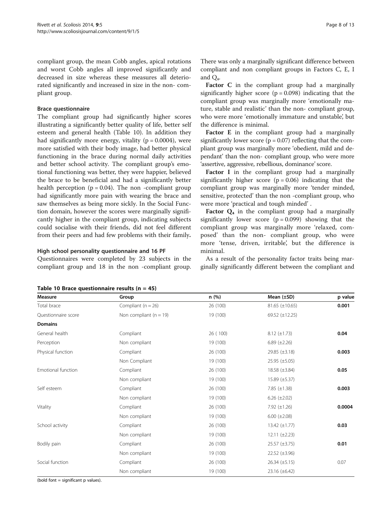compliant group, the mean Cobb angles, apical rotations and worst Cobb angles all improved significantly and decreased in size whereas these measures all deteriorated significantly and increased in size in the non- compliant group.

# Brace questionnaire

The compliant group had significantly higher scores illustrating a significantly better quality of life, better self esteem and general health (Table 10). In addition they had significantly more energy, vitality  $(p = 0.0004)$ , were more satisfied with their body image, had better physical functioning in the brace during normal daily activities and better school activity. The compliant group's emotional functioning was better, they were happier, believed the brace to be beneficial and had a significantly better health perception ( $p = 0.04$ ). The non-compliant group had significantly more pain with wearing the brace and saw themselves as being more sickly. In the Social Function domain, however the scores were marginally significantly higher in the compliant group, indicating subjects could socialise with their friends, did not feel different from their peers and had few problems with their family.

# High school personality questionnaire and 16 PF

Questionnaires were completed by 23 subjects in the compliant group and 18 in the non -compliant group.

There was only a marginally significant difference between compliant and non compliant groups in Factors C, E, I and  $Q_4$ .

Factor C in the compliant group had a marginally significantly higher score  $(p = 0.098)$  indicating that the compliant group was marginally more 'emotionally mature, stable and realistic' than the non- compliant group, who were more 'emotionally immature and unstable', but the difference is minimal.

Factor E in the compliant group had a marginally significantly lower score ( $p = 0.07$ ) reflecting that the compliant group was marginally more 'obedient, mild and dependant' than the non- compliant group, who were more 'assertive, aggressive, rebellious, dominance' score.

Factor I in the compliant group had a marginally significantly higher score  $(p = 0.06)$  indicating that the compliant group was marginally more 'tender minded, sensitive, protected' than the non -compliant group, who were more 'practical and tough minded' .

**Factor**  $Q_4$  in the compliant group had a marginally significantly lower score  $(p = 0.099)$  showing that the compliant group was marginally more 'relaxed, composed' than the non- compliant group, who were more 'tense, driven, irritable', but the difference is minimal.

As a result of the personality factor traits being marginally significantly different between the compliant and

| <b>Measure</b>      | Group                      | n(%)     | Mean $(\pm SD)$       | p value |
|---------------------|----------------------------|----------|-----------------------|---------|
| Total brace         | Compliant ( $n = 26$ )     | 26 (100) | $81.65 \ (\pm 10.65)$ | 0.001   |
| Questionnaire score | Non compliant ( $n = 19$ ) | 19 (100) | 69.52 $(\pm 12.25)$   |         |
| <b>Domains</b>      |                            |          |                       |         |
| General health      | Compliant                  | 26 (100) | $8.12 \ (\pm 1.73)$   | 0.04    |
| Perception          | Non compliant              | 19 (100) | $6.89$ ( $\pm$ 2.26)  |         |
| Physical function   | Compliant                  | 26 (100) | 29.85 $(\pm 3.18)$    | 0.003   |
|                     | Non Compliant              | 19 (100) | 25.95 (±5.05)         |         |
| Emotional function  | Compliant                  | 26 (100) | 18.58 (±3.84)         | 0.05    |
|                     | Non compliant              | 19 (100) | 15.89 (±5.37)         |         |
| Self esteem         | Compliant                  | 26 (100) | 7.85 $(\pm 1.38)$     | 0.003   |
|                     | Non compliant              | 19 (100) | $6.26 (\pm 2.02)$     |         |
| Vitality            | Compliant                  | 26 (100) | 7.92 $(\pm 1.26)$     | 0.0004  |
|                     | Non compliant              | 19 (100) | $6.00 (\pm 2.08)$     |         |
| School activity     | Compliant                  | 26 (100) | 13.42 $(\pm 1.77)$    | 0.03    |
|                     | Non compliant              | 19 (100) | $12.11 (\pm 2.23)$    |         |
| Bodily pain         | Compliant                  | 26 (100) | $25.57 (\pm 3.75)$    | 0.01    |
|                     | Non compliant              | 19 (100) | $22.52 \ (\pm 3.96)$  |         |
| Social function     | Compliant                  | 26 (100) | $26.34 \ (\pm 5.15)$  | 0.07    |
|                     | Non compliant              | 19 (100) | 23.16 (±6.42)         |         |

#### Table 10 Brace questionnaire results ( $n = 45$ )

(bold font  $=$  significant  $p$  values).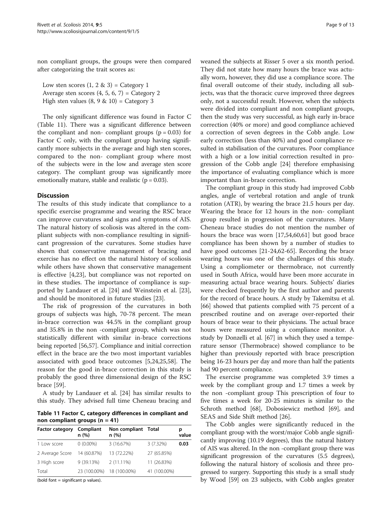non compliant groups, the groups were then compared after categorizing the trait scores as:

Low sten scores  $(1, 2 \& 3)$  = Category 1 Average sten scores  $(4, 5, 6, 7)$  = Category 2 High sten values  $(8, 9 \& 10) =$  Category 3

The only significant difference was found in Factor C (Table 11). There was a significant difference between the compliant and non- compliant groups  $(p = 0.03)$  for Factor C only, with the compliant group having significantly more subjects in the average and high sten scores, compared to the non- compliant group where most of the subjects were in the low and average sten score category. The compliant group was significantly more emotionally mature, stable and realistic  $(p = 0.03)$ .

# **Discussion**

The results of this study indicate that compliance to a specific exercise programme and wearing the RSC brace can improve curvatures and signs and symptoms of AIS. The natural history of scoliosis was altered in the compliant subjects with non-compliance resulting in significant progression of the curvatures. Some studies have shown that conservative management of bracing and exercise has no effect on the natural history of scoliosis while others have shown that conservative management is effective [\[4,23](#page-11-0)], but compliance was not reported on in these studies. The importance of compliance is supported by Landauer et al. [[24](#page-11-0)] and Weinstein et al. [\[23](#page-11-0)], and should be monitored in future studies [\[23\]](#page-11-0).

The risk of progression of the curvatures in both groups of subjects was high, 70-78 percent. The mean in-brace correction was 44.5% in the compliant group and 35.8% in the non -compliant group, which was not statistically different with similar in-brace corrections being reported [[56,57\]](#page-12-0). Compliance and initial correction effect in the brace are the two most important variables associated with good brace outcomes [[5,24,25,](#page-11-0)[58](#page-12-0)]. The reason for the good in-brace correction in this study is probably the good three dimensional design of the RSC brace [[59\]](#page-12-0).

A study by Landauer et al. [\[24](#page-11-0)] has similar results to this study. They advised full time Cheneau bracing and

Table 11 Factor C, category differences in compliant and non compliant groups  $(n = 41)$ 

| <b>Factor category</b> | Compliant<br>n(%) | Non compliant Total<br>n (%) |              | р<br>value |
|------------------------|-------------------|------------------------------|--------------|------------|
| 1 Low score            | $0(0.00\%)$       | 3 (16.67%)                   | 3 (7.32%)    | 0.03       |
| 2 Average Score        | 14 (60.87%)       | 13 (72.22%)                  | 27 (65.85%)  |            |
| 3 High score           | 9(39.13%)         | $2(11.11\%)$                 | 11 (26.83%)  |            |
| Total                  | 23 (100.00%)      | 18 (100.00%)                 | 41 (100.00%) |            |

(bold font  $=$  significant  $p$  values).

weaned the subjects at Risser 5 over a six month period. They did not state how many hours the brace was actually worn, however, they did use a compliance score. The final overall outcome of their study, including all subjects, was that the thoracic curve improved three degrees only, not a successful result. However, when the subjects were divided into compliant and non compliant groups, then the study was very successful, as high early in-brace correction (40% or more) and good compliance achieved a correction of seven degrees in the Cobb angle. Low early correction (less than 40%) and good compliance resulted in stabilisation of the curvatures. Poor compliance with a high or a low initial correction resulted in progression of the Cobb angle [[24\]](#page-11-0) therefore emphasising the importance of evaluating compliance which is more important than in-brace correction.

The compliant group in this study had improved Cobb angles, angle of vertebral rotation and angle of trunk rotation (ATR), by wearing the brace 21.5 hours per day. Wearing the brace for 12 hours in the non- compliant group resulted in progression of the curvatures. Many Cheneau brace studies do not mention the number of hours the brace was worn [\[17,](#page-11-0)[54,60,61\]](#page-12-0) but good brace compliance has been shown by a number of studies to have good outcomes [\[21-24](#page-11-0)[,62](#page-12-0)-[65\]](#page-12-0). Recording the brace wearing hours was one of the challenges of this study. Using a compliometer or thermobrace, not currently used in South Africa, would have been more accurate in measuring actual brace wearing hours. Subjects' diaries were checked frequently by the first author and parents for the record of brace hours. A study by Takemitsu et al. [[66](#page-12-0)] showed that patients complied with 75 percent of a prescribed routine and on average over-reported their hours of brace wear to their physicians. The actual brace hours were measured using a compliance monitor. A study by Donzelli et al. [\[67](#page-12-0)] in which they used a temperature sensor (Thermobrace) showed compliance to be higher than previously reported with brace prescription being 16-23 hours per day and more than half the patients had 90 percent compliance.

The exercise programme was completed 3.9 times a week by the compliant group and 1.7 times a week by the non -compliant group This prescription of four to five times a week for 20-25 minutes is similar to the Schroth method [\[68](#page-12-0)], Dobosiewicz method [\[69](#page-12-0)], and SEAS and Side Shift method [[26\]](#page-11-0).

The Cobb angles were significantly reduced in the compliant group with the worst/major Cobb angle significantly improving (10.19 degrees), thus the natural history of AIS was altered. In the non -compliant group there was significant progression of the curvatures (5.5 degrees), following the natural history of scoliosis and three progressed to surgery. Supporting this study is a small study by Wood [[59](#page-12-0)] on 23 subjects, with Cobb angles greater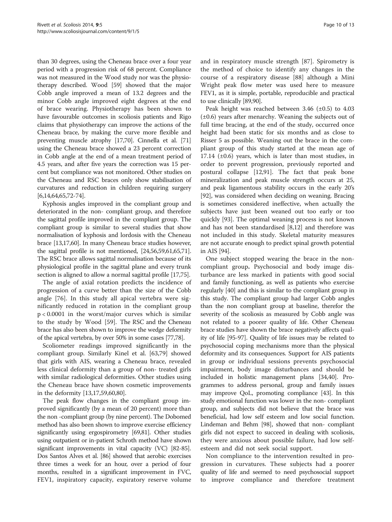than 30 degrees, using the Cheneau brace over a four year period with a progression risk of 68 percent. Compliance was not measured in the Wood study nor was the physiotherapy described. Wood [\[59](#page-12-0)] showed that the major Cobb angle improved a mean of 13.2 degrees and the minor Cobb angle improved eight degrees at the end of brace wearing. Physiotherapy has been shown to have favourable outcomes in scoliosis patients and Rigo claims that physiotherapy can improve the actions of the Cheneau brace, by making the curve more flexible and preventing muscle atrophy [\[17,](#page-11-0)[70\]](#page-12-0). Cinnella et al. [[71](#page-12-0)] using the Cheneau brace showed a 23 percent correction in Cobb angle at the end of a mean treatment period of 4.5 years, and after five years the correction was 15 percent but compliance was not monitored. Other studies on the Cheneau and RSC braces only show stabilisation of curvatures and reduction in children requiring surgery [[6,14](#page-11-0)[,64,65,72](#page-12-0)-[74](#page-12-0)].

Kyphosis angles improved in the compliant group and deteriorated in the non- compliant group, and therefore the sagittal profile improved in the compliant group. The compliant group is similar to several studies that show normalisation of kyphosis and lordosis with the Cheneau brace [\[13,17,](#page-11-0)[60](#page-12-0)]. In many Cheneau brace studies however, the sagittal profile is not mentioned, [\[24,](#page-11-0)[56,59,61,65,71](#page-12-0)]. The RSC brace allows sagittal normalisation because of its physiological profile in the sagittal plane and every trunk section is aligned to allow a normal sagittal profile [[17](#page-11-0)[,75](#page-12-0)].

The angle of axial rotation predicts the incidence of progression of a curve better than the size of the Cobb angle [[76\]](#page-12-0). In this study all apical vertebra were significantly reduced in rotation in the compliant group p < 0.0001 in the worst/major curves which is similar to the study by Wood [\[59](#page-12-0)]. The RSC and the Cheneau brace has also been shown to improve the wedge deformity of the apical vertebra, by over 50% in some cases [[77,78\]](#page-12-0).

Scoliometer readings improved significantly in the compliant group. Similarly Kinel et al. [\[63,79\]](#page-12-0) showed that girls with AIS, wearing a Cheneau brace, revealed less clinical deformity than a group of non- treated girls with similar radiological deformities. Other studies using the Cheneau brace have shown cosmetic improvements in the deformity [\[13,17](#page-11-0)[,59,60,80\]](#page-12-0).

The peak flow changes in the compliant group improved significantly (by a mean of 20 percent) more than the non -compliant group (by nine percent). The Dobomed method has also been shown to improve exercise efficiency significantly using ergospirometry [\[69,81](#page-12-0)]. Other studies using outpatient or in-patient Schroth method have shown significant improvements in vital capacity (VC) [[82](#page-12-0)-[85](#page-12-0)]. Dos Santos Alves et al. [[86](#page-12-0)] showed that aerobic exercises three times a week for an hour, over a period of four months, resulted in a significant improvement in FVC, FEV1, inspiratory capacity, expiratory reserve volume and in respiratory muscle strength [[87\]](#page-12-0). Spirometry is the method of choice to identify any changes in the course of a respiratory disease [\[88\]](#page-12-0) although a Mini Wright peak flow meter was used here to measure FEV1, as it is simple, portable, reproducible and practical to use clinically [\[89,90](#page-12-0)].

Peak height was reached between 3.46  $(\pm 0.5)$  to 4.03 (±0.6) years after menarchy. Weaning the subjects out of full time bracing, at the end of the study, occurred once height had been static for six months and as close to Risser 5 as possible. Weaning out the brace in the compliant group of this study started at the mean age of  $17.14$  ( $\pm 0.6$ ) years, which is later than most studies, in order to prevent progression, previously reported and postural collapse [\[12](#page-11-0)[,91](#page-12-0)]. The fact that peak bone mineralization and peak muscle strength occurs at 25, and peak ligamentous stability occurs in the early 20's [[92\]](#page-12-0), was considered when deciding on weaning. Bracing is sometimes considered ineffective, when actually the subjects have just been weaned out too early or too quickly [[93](#page-12-0)]. The optimal weaning process is not known and has not been standardised [[8,12\]](#page-11-0) and therefore was not included in this study. Skeletal maturity measures are not accurate enough to predict spinal growth potential in AIS [[94](#page-12-0)].

One subject stopped wearing the brace in the noncompliant group. Psychosocial and body image disturbance are less marked in patients with good social and family functioning, as well as patients who exercise regularly [\[40](#page-11-0)] and this is similar to the compliant group in this study. The compliant group had larger Cobb angles than the non compliant group at baseline, therefor the severity of the scoliosis as measured by Cobb angle was not related to a poorer quality of life. Other Cheneau brace studies have shown the brace negatively affects quality of life [\[95-97\]](#page-12-0). Quality of life issues may be related to psychosocial coping mechanisms more than the physical deformity and its consequences. Support for AIS patients in group or individual sessions prevents psychosocial impairment, body image disturbances and should be included in holistic management plans [\[34,40\]](#page-11-0). Programmes to address personal, group and family issues may improve QoL, promoting compliance [[43](#page-11-0)]. In this study emotional function was lower in the non- compliant group, and subjects did not believe that the brace was beneficial, had low self esteem and low social function. Lindeman and Behm [\[98\]](#page-12-0), showed that non- compliant girls did not expect to succeed in dealing with scoliosis, they were anxious about possible failure, had low selfesteem and did not seek social support.

Non compliance to the intervention resulted in progression in curvatures. These subjects had a poorer quality of life and seemed to need psychosocial support to improve compliance and therefore treatment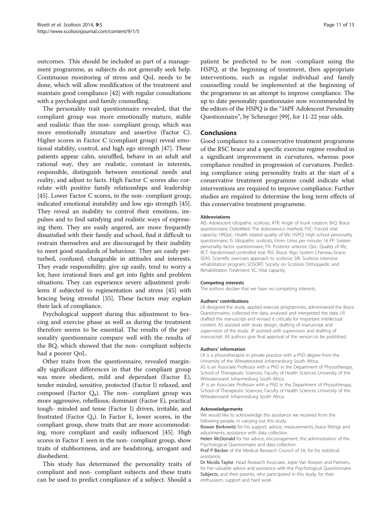outcomes. This should be included as part of a management programme, as subjects do not generally seek help. Continuous monitoring of stress and QoL needs to be done, which will allow modification of the treatment and maintain good compliance [[42](#page-11-0)] with regular consultations with a psychologist and family counselling.

The personality trait questionnaire revealed, that the compliant group was more emotionally mature, stable and realistic than the non- compliant group, which was more emotionally immature and assertive (Factor C). Higher scores in Factor C (compliant group) reveal emotional stability, control, and high ego strength [\[47](#page-11-0)]. These patients appear calm, unruffled, behave in an adult and rational way, they are realistic, constant in interests, responsible, distinguish between emotional needs and reality, and adjust to facts. High Factor C scores also correlate with positive family relationships and leadership [[45](#page-11-0)]. Lower Factor C scores, in the non- compliant group, indicated emotional instability and low ego strength [[45](#page-11-0)]. They reveal an inability to control their emotions, impulses and to find satisfying and realistic ways of expressing them. They are easily angered, are more frequently dissatisfied with their family and school, find it difficult to restrain themselves and are discouraged by their inability to meet good standards of behaviour. They are easily perturbed, confused, changeable in attitudes and interests. They evade responsibility, give up easily, tend to worry a lot, have irrational fears and get into fights and problem situations. They can experience severe adjustment problems if subjected to regimentation and stress [\[45](#page-11-0)] with bracing being stressful [\[35\]](#page-11-0). These factors may explain their lack of compliance.

Psychological support during this adjustment to bracing and exercise phase as well as during the treatment therefore seems to be essential. The results of the personality questionnaire compare well with the results of the BQ, which showed that the non- compliant subjects had a poorer QoL.

Other traits from the questionnaire, revealed marginally significant differences in that the compliant group was more obedient, mild and dependant (Factor E), tender minded, sensitive, protected (Factor I) relaxed, and composed (Factor  $Q_4$ ). The non- compliant group was more aggressive, rebellious, dominant (Factor E), practical tough- minded and tense (Factor I) driven, irritable, and frustrated (Factor  $Q_4$ ). In Factor E, lower scores, in the compliant group, show traits that are more accommodating, more compliant and easily influenced [[45\]](#page-11-0). High scores in Factor E seen in the non- compliant group, show traits of stubbornness, and are headstrong, arrogant and disobedient.

This study has determined the personality traits of compliant and non- compliant subjects and these traits can be used to predict compliance of a subject. Should a

patient be predicted to be non -compliant using the HSPQ, at the beginning of treatment, then appropriate interventions, such as regular individual and family counselling could be implemented at the beginning of the programme in an attempt to improve compliance. The up to date personality questionnaire now recommended by the editors of the HSPQ is the "16PF Adolescent Personality Questionnaire", by Scheurger [[99](#page-12-0)], for 11-22 year olds.

# Conclusions

Good compliance to a conservative treatment programme of the RSC brace and a specific exercise regime resulted in a significant improvement in curvatures, whereas poor compliance resulted in progression of curvatures. Predicting compliance using personality traits at the start of a conservative treatment programme could indicate what interventions are required to improve compliance. Further studies are required to determine the long term effects of this conservative treatment programme.

#### Abbreviations

AIS: Adolescent idiopathic scoliosis; ATR: Angle of trunk rotation; BrQ: Brace questionnaire; DoboMed: The dobosiewicz method; FVC: Forced vital capacity; HRQoL: Health related quality of life; HSPQ: High school personality questionnaire; IS: Idiopathic scoliosis; l/min: Litres per minute; 16 PF: Sixteen personality factor questionnaire; PA: Posterior anterior; QoL: Quality of life; RCT: Randomised controlled trial; RSC Brace: Rigo System Cheneau brace; SEAS: Scientific exercises approach to scoliosis; SIR: Scoliosis intensive rehabilitation program; SOSORT: Society on Scoliosis Orthopaedic and Rehabilitation Treatment; VC: Vital capacity.

#### Competing interests

The authors declare that we have no competing interests.

#### Authors' contributions

LR designed the study, applied exercise programmes, administered the Brace Questionnaires, collected the data, analysed and interpreted the data. LR drafted the manuscript and revised it critically for important intellectual content. AS assisted with study design, drafting of manuscript and supervision of the study. JP assisted with supervision and drafting of manuscript. All authors give final approval of the version to be published.

#### Authors' information

LR is a physiotherapist in private practice with a PhD degree from the University of the Witwatersrand Johannesburg South Africa. AS is an Associate Professor with a PhD in the Department of Physiotherapy,

School of Therapeuitc Sciences, Faculty of Health Sciences University of the Witwatersrand Johannesburg South Africa.

JP is an Associate Professor with a PhD in the Department of Physiotherapy, School of Therapeutic Sciences, Faculty of Health Sciences University of the Witwatersrand Johannesburg South Africa.

#### Acknowledgements

We would like to acknowledge the assistance we received from the following people, in carrying out this study:

Rowan Berkowitz for his support, advice, measurements, brace fittings and adjustments, assistance with data collection.

Helen McDonald for her advice, encouragement, the administration of the Psychological Questionnaire and data collection.

Prof P Becker of the Medical Research Council of SA, for his statistical assistance,

Dr Nicola Taylor, Head Research Associate, Jopie Van Rooyen and Partners, for her valuable advice and assistance with the Psychological Questionnaire. Subjects, and their parents, who participated in this study, for their enthusiasm, support and hard work.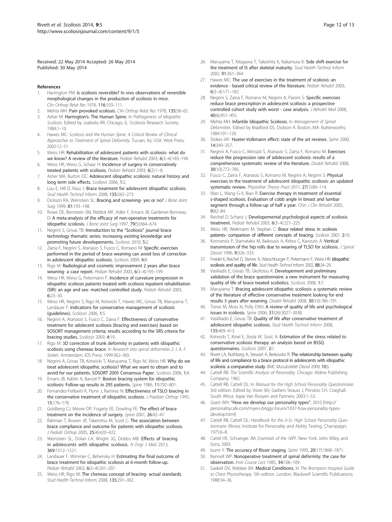<span id="page-11-0"></span>Received: 22 May 2014 Accepted: 26 May 2014 Published: 30 May 2014

#### References

- Harrington PM: Is scoliosis reversible? In vivo observations of reversible morphological changes in the production of scoliosis in mice. Clin Orthop Relat Res 1976, 116:103–111.
- 2. Mehta MH: Pain provoked scoliosis. Clin Orthop Relat Res 1978, 135:58-65.
- Asher M: Harrington's: The Human Spine. In Pathogenesis of Idiopathic Scoliosis. Edited by Joabobs RR. Chicago, IL: Scoliosis Research Society; 1984:1–10.
- 4. Hawes MC: Scoliosis and the Human Spine. A Critical Review of Clinical Approaches to Treatment of Spinal Deformity. Tucsan, Az, USA: West Press; 2002:12–51.
- 5. Weiss HR: Rehabilitation of adolescent patients with scoliosis- what do we know? A review of the literature. Pediatr Rehabil 2003, 6(3–4):183–194.
- 6. Weiss HR, Weiss G, Schaar H: Incidence of surgery in conservatively treated patients with scoliosis. Pediatr Rehabil 2003, 6(2):1–8.
- 7. Asher MA, Burton DC: Adolescent idiopathic scoliosis: natural history and long term side effects. Scoliosis 2006, 1:2.
- 8. Lou E, Hill D, Raso J: Brace treatment for adolescent idiopathic scoliosis. Stud Health Technol Inform 2008, 135:265–273.
- 9. Dickson RA, Weinstein SL: Bracing and screening- yes or no? J Bone Joint Surg 1999, 81:193–198.
- 10. Rowe DE, Bernstein SM, Riddick MF, Adler F, Emans JB, Gardener-Bonneau D: A meta-analysis of the efficacy of non-operative treatments for idiopathic scoliosis. J Bone Joint Surg 1997, 79(5):664-674.
- 11. Negrini S, Grivas TB: Introduction to the "Scoliosis" journal brace technology thematic series: increasing existing knowledge and promoting future developements. Scoliosis 2010, 5:2.
- 12. Zaina F, Negrini S, Atanasio S, Fusco C, Romano M: Specific exercises performed in the period of brace weaning can avoid loss of correction in adolescent idiopathic scoliosis. Scoliosis 2009, 4:8.
- 13. Rigo M: Radiological and cosmetic improvement 2 years after brace weaning- a case report. Pediatr Rehabil 2003, 6(3–4):195–199.
- 14. Weiss HR, Weiss G, Petermann F: Incidence of curvature progression in idiopathic scoliosis patients treated with scoliosis inpatient rehabilitation (SIR): an age and sex- matched controlled study. Pediatr Rehabil 2003, 6:23–30.
- 15. Weiss HR, Negrini S, Rigo M, Kotwicki T, Hawes MC, Grivas TB, Maruyama T, Landauer F: Indications for conservative management of scoliosis (guidelines). Scoliosis 2006, 1:5.
- 16. Negrini A, Atanasio S, Fusco C, Zaina F: Effectiveness of conservative treatment for adolecent scoliosis (bracing and exercises) based on SOSORT management criteria; results according to the SRS criteria for bracing studies. Scoliosis 2009, 4:19.
- 17. Rigo M: 3D correction of trunk deformity in patients with idiopathic scoliosis using cheneau brace. In Research into spinal deformities 2. I. A. F. Stokes. Amsterdam: IOS Press; 1999:362–365.
- 18. Negrini A, Grivas TB, Kotwicki T, Maruyama T, Rigo M, Weiss HR: Why do we treat adolescent idiopathic scoliosis? What we want to obtain and to avoid for our patients. SOSORT 2005 Consensus Paper. Scoliosis 2006, 1:4.
- 19. Emans JB, Kablin A, Bancel P: Boston bracing system for idiopathic scoliosis: Follow-up results in 295 patients. Spine 1986, 11:792–801.
- 20. Fernandez-Feliberti R, Flynn J, Ramirez N: Effectiveness of TSLO bracing in the conservative treatment of idiopathic scoliosis. J Paediatr Orthop 1995, 15:176–178.
- 21. Goldberg CJ, Moore DP, Fogarty EE, Dowling FE: The effect of brace treatment on the incidence of surgery. Spine 2001, 26:42–47.
- 22. Rahman T, Bowen JR, Takemitsu M, Scott C: The association between brace compliance and outcome for patients with idiopathic scoliosis. J Pediatr Orthop 2005, 25(4):420–422.
- 23. Weinstein SL, Dolan LA, Wright JG, Dobbs MB: Effects of bracing in adolescents with idiopathic scoliosis. N Engl J Med 2013, 369:1512–1521.
- 24. Landauer F, Wimmer C, Behensky H: Estimating the final outcome of brace treatment for idiopathic scoliosis at 6-month follow-up. Pediatr Rehabil 2003, 6(3–4):201–207.
- 25. Weiss HR, Rigo M: The cheneau concept of bracing- actual standards. Stud Health Technol Inform 2008, 135:291–302.
- 26. Maruyama T, Kitagawa T, Takeshita K, Nakamura K: Side shift exercise for the treatment of IS after skeletal maturity. Stud Health Technol Inform 2002, 91:361–364.
- 27. Hawes MC: The use of exercises in the treatment of scoliosis: an evidence - based critical review of the literature. Pediatr Rehabil 2003, 6(3–4):171–182.
- 28. Negrini S, Zaina F, Romano M, Negrini A, Parzini S: Specific exercises reduce brace prescription in adolescent scoliosis: a prospective controlled cohort study with worst - case analysis. J Rehabil Med 2008, 40(6):451–455.
- 29. Mehta MH: Infantile Idiopathic Scoliosis. In Management of Spinal Deformities. Edited by Bradford DS, Dickson R. Boston, MA: Butterworths; 1984:101–120.
- 30. Stokes IAF: Hueter-Volkmann effect: state of the art reviews. Spine 2000. 14:349–357.
- 31. Negrini A, Fusco C, Minozzi S, Atanasio S, Zaina F, Romano M: Exercises reduce the progression rate of adolescent scoliosis: results of a comprehensive systematic review of the literature. Disabil Rehabil 2008, 30(10):772–785.
- 32. Fusco C, Zaina F, Atanasio S, Romano M, Negrini A, Negrini S: Physical exercises in the treatment of adolescent idiopathic scoliosis: an updated systematic review. Physiother Theory Pract 2011, 27(1):80-114.
- 33. Wan L, Wang G-X, Bian R: Exercise therapy in treatment of essential s-shaped scoliosis: Evaluation of cobb angle in breast and lumbar segment through a follow-up of half a year. Chin J Clin Rehabil 2005, 9:82–84.
- 34. Reichel D, Schanz J: Developemental psychological aspects of scoliosis treatment. Pediatr Rehabil 2003, 6(3–4):221–225.
- 35. Weiss HR, Werkmann M, Stephan C: Brace related stress in scoliosis patients- comparison of different concepts of bracing. Scoliosis 2007, 2:10.
- 36. Korovessis P, Stamatakis M, Baikousis A, Kirkos C, Kavouris A: Vertical transmission of the hip rolls due to wearing of TLSO for scoliosis. J Spinal Disord 1996, 9:326–333.
- 37. Freidel K, Reichel D, Steiner A, Warschburger P, Petermann F, Weiss HR: Idiopathic scoliosis and quality of life. Stud Health Technol Inform 2002, 88:24-29.
- 38. Vasiliadis E, Grivas TB, Gkoltsiou K: Developement and preliminary validation of the brace questionnaire: a new instrument for measuring quality of life of brace treated scoliotics. Scoliosis 2006, 1:7.
- 39. Maruyama T: Bracing adolescent idiopathic scoliosis: a systematic review of the literature of effective conservative treatment looking for end results 5 years after weaning. Disabil Rehabil 2008, 30(10):786–791.
- 40. Tones M, Moss N, Polly DWJ: A review of quality of life and psychological issues in scoliosis. Spine 2006, 31(26):3027–3038.
- 41. Vasililiadis E, Grivas TB: Quality of life after conservative treatment of adolescent idiopathic scoliosis. Stud Health Technol Inform 2008, 135:409–413.
- 42. Kotwicki T, Kinel E, Stryla W, Szulc A: Estimation of the stress related to conservative scoliosis therapy: an analysis based on BSSQ questionnaires. Scoliosis 2007, 2:1.
- 43. Rivett LA, Rothberg A, Stewart A, Berkowitz R: The relationship between quality of life and compliance to a brace protocol in adolescents with idiopathic scoliosis: a comparative study. BMC Muculoskelet Disord 2009, 10:5.
- 44. Cattell RB: The Scientific Analysis of Personality. Chicago: Aldine Publishing Company; 1965.
- 45. Cattell RB, Cattell DL: In Manual for the High School Personality Questionnaire. 3rd edition. Edited by Visser MJ, Garbers Strauss J, Prinsloo CH. Craighall, South Africa: Jopie Van Rooyen and Partners; 2003:1–53.
- 46. Grant WH: "How we develop our personality types". 2010 [\[http://](http://personalitycafe.com/myers-briggs-forum/1037-how-personality-types-develop.html) [personalitycafe.com/myers-briggs-forum/1037-how-personality-types](http://personalitycafe.com/myers-briggs-forum/1037-how-personality-types-develop.html)[develop.html](http://personalitycafe.com/myers-briggs-forum/1037-how-personality-types-develop.html)]
- 47. Cattell RB, Cattell DL: Handbook for the Jr-Sr. High School Personality Questionnaire. Illinois: Institute for Personality and Ability Testing. Charnpaign; 1975:6–8.
- 48. Cattel HE, Schuerger JM: Essentials of the 16PF. New York: John Wiley and Sons; 2003.
- 49. Izumi Y: The accuracy of Risser staging. Spine 1995, 20(17):1868-1871.
- 50. Bunnell WP: Nonoperative treatment of spinal deformity: the case for observation. Instr Course Lect 1985, 34:106–109.
- 51. Gaskell DV, Webber BA: Medical Conditions. In The Brompton Hospital Guide to Chest Physiotherapy. 5th edition. London: Blackwell Scientific Publications; 1988:34–36.